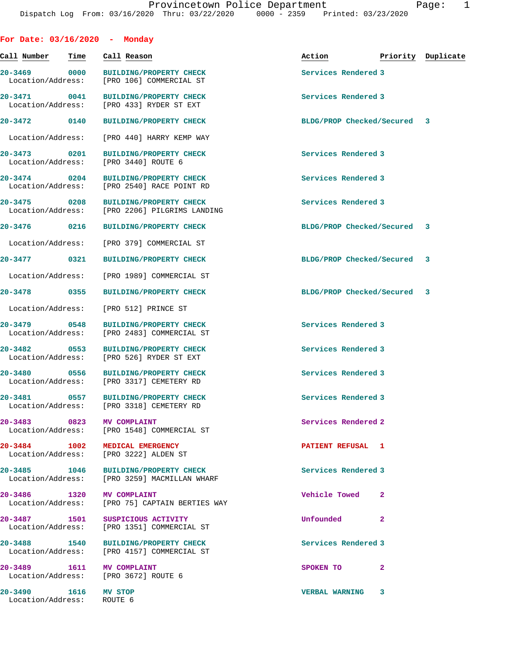| For Date: $03/16/2020$ - Monday                                       |      |                                                                                  |                             |              |                    |
|-----------------------------------------------------------------------|------|----------------------------------------------------------------------------------|-----------------------------|--------------|--------------------|
| Call Number                                                           | Time | Call Reason                                                                      | Action                      |              | Priority Duplicate |
| 20-3469 0000<br>Location/Address:                                     |      | <b>BUILDING/PROPERTY CHECK</b><br>[PRO 106] COMMERCIAL ST                        | Services Rendered 3         |              |                    |
| 20-3471 0041                                                          |      | <b>BUILDING/PROPERTY CHECK</b><br>Location/Address: [PRO 433] RYDER ST EXT       | Services Rendered 3         |              |                    |
| 20-3472 0140                                                          |      | <b>BUILDING/PROPERTY CHECK</b>                                                   | BLDG/PROP Checked/Secured 3 |              |                    |
| Location/Address:                                                     |      | [PRO 440] HARRY KEMP WAY                                                         |                             |              |                    |
| 20-3473 0201<br>Location/Address:                                     |      | <b>BUILDING/PROPERTY CHECK</b><br>[PRO 3440] ROUTE 6                             | Services Rendered 3         |              |                    |
| 20-3474 0204<br>Location/Address:                                     |      | <b>BUILDING/PROPERTY CHECK</b><br>[PRO 2540] RACE POINT RD                       | Services Rendered 3         |              |                    |
| 20-3475 0208                                                          |      | <b>BUILDING/PROPERTY CHECK</b><br>Location/Address: [PRO 2206] PILGRIMS LANDING  | Services Rendered 3         |              |                    |
| 20-3476 0216                                                          |      | <b>BUILDING/PROPERTY CHECK</b>                                                   | BLDG/PROP Checked/Secured 3 |              |                    |
| Location/Address:                                                     |      | [PRO 379] COMMERCIAL ST                                                          |                             |              |                    |
| 20-3477 0321                                                          |      | <b>BUILDING/PROPERTY CHECK</b>                                                   | BLDG/PROP Checked/Secured 3 |              |                    |
| Location/Address:                                                     |      | [PRO 1989] COMMERCIAL ST                                                         |                             |              |                    |
| 20-3478 0355                                                          |      | <b>BUILDING/PROPERTY CHECK</b>                                                   | BLDG/PROP Checked/Secured 3 |              |                    |
| Location/Address:                                                     |      | [PRO 512] PRINCE ST                                                              |                             |              |                    |
| 20-3479 0548                                                          |      | <b>BUILDING/PROPERTY CHECK</b><br>Location/Address: [PRO 2483] COMMERCIAL ST     | Services Rendered 3         |              |                    |
| $20 - 3482$                                                           | 0553 | <b>BUILDING/PROPERTY CHECK</b><br>Location/Address: [PRO 526] RYDER ST EXT       | Services Rendered 3         |              |                    |
|                                                                       |      | 20-3480 0556 BUILDING/PROPERTY CHECK<br>Location/Address: [PRO 3317] CEMETERY RD | Services Rendered 3         |              |                    |
| 20-3481                                                               | 0557 | <b>BUILDING/PROPERTY CHECK</b><br>Location/Address: [PRO 3318] CEMETERY RD       | Services Rendered 3         |              |                    |
| 20-3483 0823                                                          |      | <b>MV COMPLAINT</b><br>Location/Address: [PRO 1548] COMMERCIAL ST                | Services Rendered 2         |              |                    |
| 20-3484 1002 MEDICAL EMERGENCY                                        |      | Location/Address: [PRO 3222] ALDEN ST                                            | <b>PATIENT REFUSAL 1</b>    |              |                    |
| 20-3485 1046                                                          |      | BUILDING/PROPERTY CHECK<br>Location/Address: [PRO 3259] MACMILLAN WHARF          | Services Rendered 3         |              |                    |
| 20-3486 1320 MV COMPLAINT                                             |      | Location/Address: [PRO 75] CAPTAIN BERTIES WAY                                   | Vehicle Towed               | $\mathbf{2}$ |                    |
| 20-3487 1501<br>Location/Address:                                     |      | SUSPICIOUS ACTIVITY<br>[PRO 1351] COMMERCIAL ST                                  | Unfounded                   | $\mathbf{2}$ |                    |
| 20-3488 1540                                                          |      | BUILDING/PROPERTY CHECK<br>Location/Address: [PRO 4157] COMMERCIAL ST            | Services Rendered 3         |              |                    |
| 20-3489   1611   MV COMPLAINT<br>Location/Address: [PRO 3672] ROUTE 6 |      |                                                                                  | SPOKEN TO                   | $\mathbf{2}$ |                    |
| 20-3490 1616 MV STOP<br>Location/Address: ROUTE 6                     |      |                                                                                  | <b>VERBAL WARNING 3</b>     |              |                    |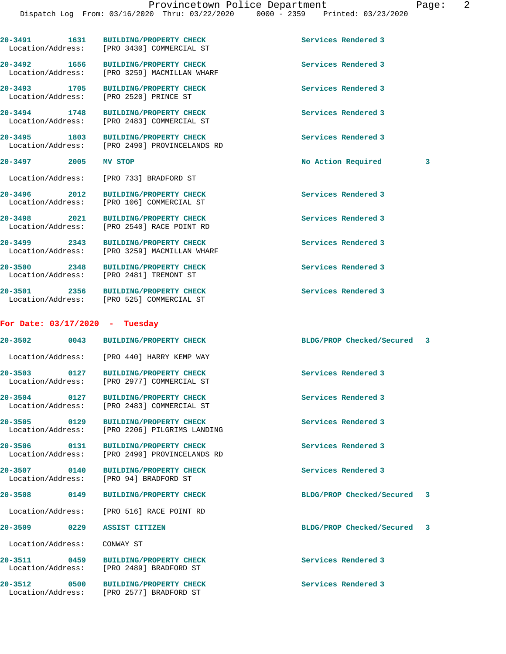| 20-3491 1631                             | BUILDING/PROPERTY CHECK<br>Location/Address: [PRO 3430] COMMERCIAL ST           | Services Rendered 3            |  |
|------------------------------------------|---------------------------------------------------------------------------------|--------------------------------|--|
| 20-3492 1656                             | BUILDING/PROPERTY CHECK<br>Location/Address: [PRO 3259] MACMILLAN WHARF         | Services Rendered 3            |  |
| 20-3493 1705                             | <b>BUILDING/PROPERTY CHECK</b><br>Location/Address: [PRO 2520] PRINCE ST        | Services Rendered 3            |  |
| 20-3494 1748<br>Location/Address:        | <b>BUILDING/PROPERTY CHECK</b><br>[PRO 2483] COMMERCIAL ST                      | Services Rendered 3            |  |
| 20-3495 1803                             | <b>BUILDING/PROPERTY CHECK</b><br>Location/Address: [PRO 2490] PROVINCELANDS RD | Services Rendered 3            |  |
| 20–3497 2005                             | MV STOP                                                                         | No Action Required<br>3        |  |
|                                          | Location/Address: [PRO 733] BRADFORD ST                                         |                                |  |
| 20-3496 2012                             | <b>BUILDING/PROPERTY CHECK</b><br>Location/Address: [PRO 106] COMMERCIAL ST     | Services Rendered 3            |  |
| 20-3498 2021                             | BUILDING/PROPERTY CHECK<br>Location/Address: [PRO 2540] RACE POINT RD           | Services Rendered 3            |  |
| 20-3499 2343                             | <b>BUILDING/PROPERTY CHECK</b><br>Location/Address: [PRO 3259] MACMILLAN WHARF  | Services Rendered 3            |  |
| 20-3500 2348                             | <b>BUILDING/PROPERTY CHECK</b><br>Location/Address: [PRO 2481] TREMONT ST       | Services Rendered 3            |  |
| 20-3501 2356                             | <b>BUILDING/PROPERTY CHECK</b><br>Location/Address: [PRO 525] COMMERCIAL ST     | Services Rendered 3            |  |
| For Date: $03/17/2020$ - Tuesday         |                                                                                 |                                |  |
|                                          | 20-3502 0043 BUILDING/PROPERTY CHECK                                            | BLDG/PROP Checked/Secured 3    |  |
|                                          | Location/Address: [PRO 440] HARRY KEMP WAY                                      |                                |  |
| 0127<br>20-3503                          | <b>BUILDING/PROPERTY CHECK</b><br>Location/Address: [PRO 2977] COMMERCIAL ST    | Services Rendered 3            |  |
| $20 - 3504$<br>0127<br>Location/Address: | <b>BUILDING/PROPERTY CHECK</b><br>[PRO 2483] COMMERCIAL ST                      | Services Rendered 3            |  |
| 20-3505 0129                             | <b>BUILDING/PROPERTY CHECK</b><br>Location/Address: [PRO 2206] PILGRIMS LANDING | Services Rendered 3            |  |
| 20-3506 0131<br>Location/Address:        | <b>BUILDING/PROPERTY CHECK</b><br>[PRO 2490] PROVINCELANDS RD                   | Services Rendered 3            |  |
| 20-3507 0140<br>Location/Address:        | <b>BUILDING/PROPERTY CHECK</b><br>[PRO 94] BRADFORD ST                          | Services Rendered 3            |  |
| 20-3508 0149                             | <b>BUILDING/PROPERTY CHECK</b>                                                  | BLDG/PROP Checked/Secured 3    |  |
|                                          | Location/Address: [PRO 516] RACE POINT RD                                       |                                |  |
| 20-3509<br>0229                          | ASSIST CITIZEN                                                                  | BLDG/PROP Checked/Secured<br>3 |  |
| Location/Address:                        | CONWAY ST                                                                       |                                |  |
| 20-3511 0459                             | BUILDING/PROPERTY CHECK<br>Location/Address: [PRO 2489] BRADFORD ST             | Services Rendered 3            |  |
| 20-3512<br>0500                          |                                                                                 |                                |  |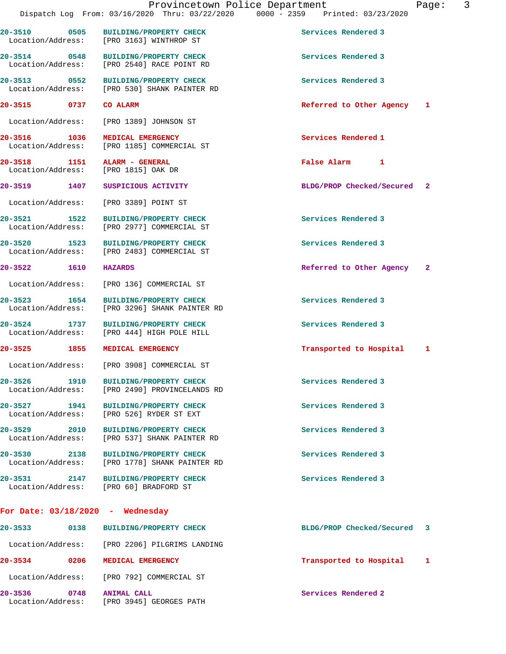|                                                                     | 20-3510 0505 BUILDING/PROPERTY CHECK<br>Location/Address: [PRO 3163] WINTHROP ST      | Services Rendered 3         |              |
|---------------------------------------------------------------------|---------------------------------------------------------------------------------------|-----------------------------|--------------|
| 20-3514 0548                                                        | BUILDING/PROPERTY CHECK<br>Location/Address: [PRO 2540] RACE POINT RD                 | Services Rendered 3         |              |
|                                                                     | 20-3513 0552 BUILDING/PROPERTY CHECK<br>Location/Address: [PRO 530] SHANK PAINTER RD  | Services Rendered 3         |              |
| 20-3515 0737 CO ALARM                                               |                                                                                       | Referred to Other Agency 1  |              |
|                                                                     | Location/Address: [PRO 1389] JOHNSON ST                                               |                             |              |
| 20-3516 1036                                                        | MEDICAL EMERGENCY<br>Location/Address: [PRO 1185] COMMERCIAL ST                       | Services Rendered 1         |              |
| 20-3518 1151 ALARM - GENERAL<br>Location/Address: [PRO 1815] OAK DR |                                                                                       | False Alarm 1               |              |
| 20-3519 1407                                                        | SUSPICIOUS ACTIVITY                                                                   | BLDG/PROP Checked/Secured 2 |              |
|                                                                     | Location/Address: [PRO 3389] POINT ST                                                 |                             |              |
| 20-3521 1522                                                        | BUILDING/PROPERTY CHECK<br>Location/Address: [PRO 2977] COMMERCIAL ST                 | Services Rendered 3         |              |
| 20-3520 1523                                                        | <b>BUILDING/PROPERTY CHECK</b><br>Location/Address: [PRO 2483] COMMERCIAL ST          | Services Rendered 3         |              |
| 20-3522 1610                                                        | <b>HAZARDS</b>                                                                        | Referred to Other Agency 2  |              |
|                                                                     | Location/Address: [PRO 136] COMMERCIAL ST                                             |                             |              |
|                                                                     | 20-3523 1654 BUILDING/PROPERTY CHECK<br>Location/Address: [PRO 3296] SHANK PAINTER RD | Services Rendered 3         |              |
| 1737<br>20-3524                                                     | <b>BUILDING/PROPERTY CHECK</b><br>Location/Address: [PRO 444] HIGH POLE HILL          | Services Rendered 3         |              |
| $20 - 3525$<br>1855                                                 | MEDICAL EMERGENCY                                                                     | Transported to Hospital 1   |              |
|                                                                     | Location/Address: [PRO 3908] COMMERCIAL ST                                            |                             |              |
| 1910<br>20-3526<br>Location/Address:                                | <b>BUILDING/PROPERTY CHECK</b><br>[PRO 2490] PROVINCELANDS RD                         | Services Rendered 3         |              |
|                                                                     | 20-3527 1941 BUILDING/PROPERTY CHECK<br>Location/Address: [PRO 526] RYDER ST EXT      | Services Rendered 3         |              |
|                                                                     | 20-3529 2010 BUILDING/PROPERTY CHECK<br>Location/Address: [PRO 537] SHANK PAINTER RD  | Services Rendered 3         |              |
|                                                                     | 20-3530 2138 BUILDING/PROPERTY CHECK<br>Location/Address: [PRO 1778] SHANK PAINTER RD | Services Rendered 3         |              |
|                                                                     | 20-3531 2147 BUILDING/PROPERTY CHECK<br>Location/Address: [PRO 60] BRADFORD ST        | Services Rendered 3         |              |
| For Date: $03/18/2020$ - Wednesday                                  |                                                                                       |                             |              |
|                                                                     | 20-3533 0138 BUILDING/PROPERTY CHECK                                                  | BLDG/PROP Checked/Secured 3 |              |
|                                                                     | Location/Address: [PRO 2206] PILGRIMS LANDING                                         |                             |              |
| 20-3534 0206 MEDICAL EMERGENCY                                      |                                                                                       | Transported to Hospital     | $\mathbf{1}$ |
|                                                                     | Location/Address: [PRO 792] COMMERCIAL ST                                             |                             |              |
| 20-3536 0748 ANIMAL CALL                                            | Location/Address: [PRO 3945] GEORGES PATH                                             | Services Rendered 2         |              |
|                                                                     |                                                                                       |                             |              |

Dispatch Log From: 03/16/2020 Thru: 03/22/2020 0000 - 2359 Printed: 03/23/2020

Provincetown Police Department Fage: 3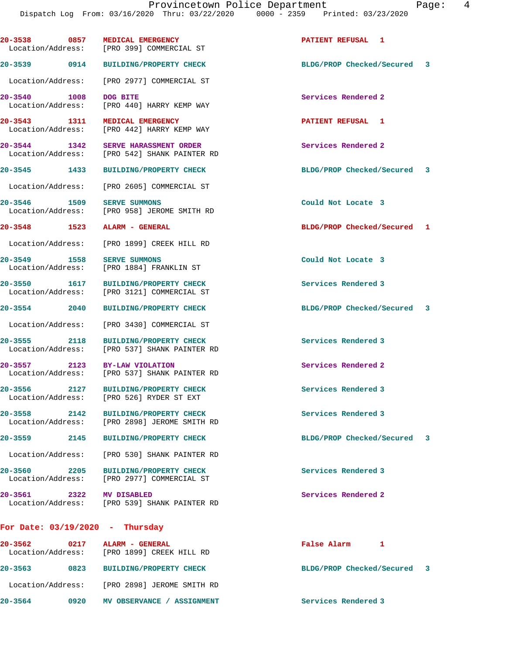| 20-3538 0857                      | <b>MEDICAL EMERGENCY</b><br>Location/Address: [PRO 399] COMMERCIAL ST                | PATIENT REFUSAL 1           |  |
|-----------------------------------|--------------------------------------------------------------------------------------|-----------------------------|--|
| 20-3539 0914                      | <b>BUILDING/PROPERTY CHECK</b>                                                       | BLDG/PROP Checked/Secured 3 |  |
|                                   | Location/Address: [PRO 2977] COMMERCIAL ST                                           |                             |  |
| 20-3540 1008<br>Location/Address: | DOG BITE<br>[PRO 440] HARRY KEMP WAY                                                 | Services Rendered 2         |  |
| 20-3543 1311                      | MEDICAL EMERGENCY<br>Location/Address: [PRO 442] HARRY KEMP WAY                      | PATIENT REFUSAL 1           |  |
| 20-3544 1342                      | <b>SERVE HARASSMENT ORDER</b><br>Location/Address: [PRO 542] SHANK PAINTER RD        | Services Rendered 2         |  |
| 20-3545 1433                      | <b>BUILDING/PROPERTY CHECK</b>                                                       | BLDG/PROP Checked/Secured 3 |  |
|                                   | Location/Address: [PRO 2605] COMMERCIAL ST                                           |                             |  |
| 20-3546 1509                      | <b>SERVE SUMMONS</b><br>Location/Address: [PRO 958] JEROME SMITH RD                  | Could Not Locate 3          |  |
| 20-3548 1523 ALARM - GENERAL      |                                                                                      | BLDG/PROP Checked/Secured 1 |  |
|                                   | Location/Address: [PRO 1899] CREEK HILL RD                                           |                             |  |
| 20-3549 1558<br>Location/Address: | <b>SERVE SUMMONS</b><br>[PRO 1884] FRANKLIN ST                                       | Could Not Locate 3          |  |
| 20-3550 1617                      | BUILDING/PROPERTY CHECK<br>Location/Address: [PRO 3121] COMMERCIAL ST                | Services Rendered 3         |  |
| 20-3554 2040                      | <b>BUILDING/PROPERTY CHECK</b>                                                       | BLDG/PROP Checked/Secured 3 |  |
|                                   | Location/Address: [PRO 3430] COMMERCIAL ST                                           |                             |  |
| 20-3555 2118<br>Location/Address: | <b>BUILDING/PROPERTY CHECK</b><br>[PRO 537] SHANK PAINTER RD                         | Services Rendered 3         |  |
| 20-3557 2123                      | BY-LAW VIOLATION<br>Location/Address: [PRO 537] SHANK PAINTER RD                     | Services Rendered 2         |  |
| 20-3556 2127                      | <b>BUILDING/PROPERTY CHECK</b><br>Location/Address: [PRO 526] RYDER ST EXT           | Services Rendered 3         |  |
|                                   | 20-3558 2142 BUILDING/PROPERTY CHECK<br>Location/Address: [PRO 2898] JEROME SMITH RD | Services Rendered 3         |  |
|                                   | 20-3559 2145 BUILDING/PROPERTY CHECK                                                 | BLDG/PROP Checked/Secured 3 |  |
|                                   | Location/Address: [PRO 530] SHANK PAINTER RD                                         |                             |  |
|                                   | 20-3560 2205 BUILDING/PROPERTY CHECK<br>Location/Address: [PRO 2977] COMMERCIAL ST   | Services Rendered 3         |  |
| 20-3561 2322 MV DISABLED          | Location/Address: [PRO 539] SHANK PAINTER RD                                         | Services Rendered 2         |  |
| For Date: $03/19/2020$ - Thursday |                                                                                      |                             |  |
| 20-3562 0217 ALARM - GENERAL      | Location/Address: [PRO 1899] CREEK HILL RD                                           | False Alarm 1               |  |
|                                   | 20-3563 0823 BUILDING/PROPERTY CHECK                                                 | BLDG/PROP Checked/Secured 3 |  |
|                                   | Location/Address: [PRO 2898] JEROME SMITH RD                                         |                             |  |
| 20-3564 0920                      | MV OBSERVANCE / ASSIGNMENT                                                           | Services Rendered 3         |  |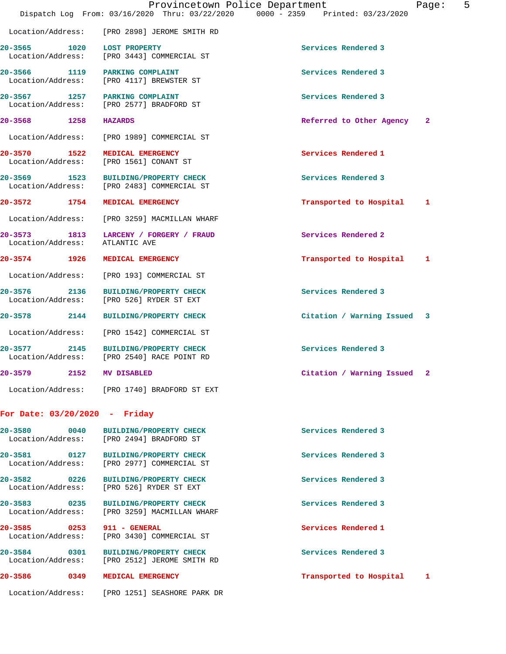|                                      | Dispatch Log From: 03/16/2020 Thru: 03/22/2020 0000 - 2359 Printed: 03/23/2020       | Provincetown Police Department | 5<br>Page: |
|--------------------------------------|--------------------------------------------------------------------------------------|--------------------------------|------------|
|                                      | Location/Address: [PRO 2898] JEROME SMITH RD                                         |                                |            |
| 1020<br>20-3565<br>Location/Address: | <b>LOST PROPERTY</b><br>[PRO 3443] COMMERCIAL ST                                     | Services Rendered 3            |            |
| Location/Address:                    | 20-3566 1119 PARKING COMPLAINT<br>[PRO 4117] BREWSTER ST                             | Services Rendered 3            |            |
| Location/Address:                    | 20-3567 1257 PARKING COMPLAINT<br>[PRO 2577] BRADFORD ST                             | Services Rendered 3            |            |
| 20-3568 1258                         | <b>HAZARDS</b>                                                                       | Referred to Other Agency       | -2         |
| Location/Address:                    | [PRO 1989] COMMERCIAL ST                                                             |                                |            |
| 20-3570 1522<br>Location/Address:    | MEDICAL EMERGENCY<br>[PRO 1561] CONANT ST                                            | Services Rendered 1            |            |
| 20-3569 1523<br>Location/Address:    | <b>BUILDING/PROPERTY CHECK</b><br>[PRO 2483] COMMERCIAL ST                           | Services Rendered 3            |            |
| 20-3572 1754                         | MEDICAL EMERGENCY                                                                    | Transported to Hospital        | 1          |
| Location/Address:                    | [PRO 3259] MACMILLAN WHARF                                                           |                                |            |
| Location/Address:                    | 20-3573 1813 LARCENY / FORGERY / FRAUD<br>ATLANTIC AVE                               | Services Rendered 2            |            |
| 20-3574 1926                         | MEDICAL EMERGENCY                                                                    | Transported to Hospital        | 1          |
| Location/Address:                    | [PRO 193] COMMERCIAL ST                                                              |                                |            |
| 20-3576 2136<br>Location/Address:    | <b>BUILDING/PROPERTY CHECK</b><br>[PRO 526] RYDER ST EXT                             | Services Rendered 3            |            |
| 20-3578 2144                         | <b>BUILDING/PROPERTY CHECK</b>                                                       | Citation / Warning Issued 3    |            |
| Location/Address:                    | [PRO 1542] COMMERCIAL ST                                                             |                                |            |
|                                      | 20-3577 2145 BUILDING/PROPERTY CHECK<br>Location/Address: [PRO 2540] RACE POINT RD   | Services Rendered 3            |            |
| $20 - 3579$                          | 2152 MV DISABLED                                                                     | Citation / Warning Issued 2    |            |
|                                      | Location/Address: [PRO 1740] BRADFORD ST EXT                                         |                                |            |
| For Date: $03/20/2020 -$ Friday      |                                                                                      |                                |            |
| 20-3580 0040                         | <b>BUILDING/PROPERTY CHECK</b><br>Location/Address: [PRO 2494] BRADFORD ST           | Services Rendered 3            |            |
|                                      | 20-3581 0127 BUILDING/PROPERTY CHECK<br>Location/Address: [PRO 2977] COMMERCIAL ST   | Services Rendered 3            |            |
| 20-3582 0226                         | <b>BUILDING/PROPERTY CHECK</b><br>Location/Address: [PRO 526] RYDER ST EXT           | Services Rendered 3            |            |
|                                      | 20-3583 0235 BUILDING/PROPERTY CHECK<br>Location/Address: [PRO 3259] MACMILLAN WHARF | Services Rendered 3            |            |
| 20-3585 0253 911 - GENERAL           | Location/Address: [PRO 3430] COMMERCIAL ST                                           | Services Rendered 1            |            |
| 20-3584 0301                         | <b>BUILDING/PROPERTY CHECK</b><br>Location/Address: [PRO 2512] JEROME SMITH RD       | Services Rendered 3            |            |
| 20-3586 0349                         | MEDICAL EMERGENCY                                                                    | Transported to Hospital        | ı          |
|                                      | Location/Address: [PRO 1251] SEASHORE PARK DR                                        |                                |            |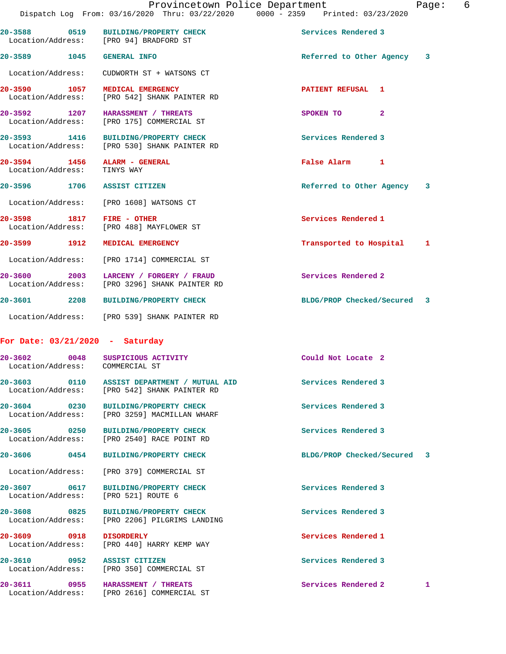|                                                             | Provincetown Police Department<br>Dispatch Log From: 03/16/2020 Thru: 03/22/2020 0000 - 2359 Printed: 03/23/2020 |                             | Page: | 6 |
|-------------------------------------------------------------|------------------------------------------------------------------------------------------------------------------|-----------------------------|-------|---|
| Location/Address: [PRO 94] BRADFORD ST                      | 20-3588 0519 BUILDING/PROPERTY CHECK                                                                             | Services Rendered 3         |       |   |
| 20-3589 1045 GENERAL INFO                                   |                                                                                                                  | Referred to Other Agency 3  |       |   |
|                                                             | Location/Address: CUDWORTH ST + WATSONS CT                                                                       |                             |       |   |
| 20-3590 1057 MEDICAL EMERGENCY                              | Location/Address: [PRO 542] SHANK PAINTER RD                                                                     | PATIENT REFUSAL 1           |       |   |
| 20-3592 1207 HARASSMENT / THREATS                           | Location/Address: [PRO 175] COMMERCIAL ST                                                                        | SPOKEN TO<br>$\overline{2}$ |       |   |
|                                                             | 20-3593 1416 BUILDING/PROPERTY CHECK<br>Location/Address: [PRO 530] SHANK PAINTER RD                             | Services Rendered 3         |       |   |
| 20-3594 1456 ALARM - GENERAL<br>Location/Address: TINYS WAY |                                                                                                                  | False Alarm 1               |       |   |
| 20-3596 1706 ASSIST CITIZEN                                 |                                                                                                                  | Referred to Other Agency    | 3     |   |
| Location/Address: [PRO 1608] WATSONS CT                     |                                                                                                                  |                             |       |   |
| 20-3598 1817 FIRE - OTHER                                   | Location/Address: [PRO 488] MAYFLOWER ST                                                                         | Services Rendered 1         |       |   |
| 20-3599 1912 MEDICAL EMERGENCY                              |                                                                                                                  | Transported to Hospital 1   |       |   |
|                                                             | Location/Address: [PRO 1714] COMMERCIAL ST                                                                       |                             |       |   |
|                                                             | 20-3600 2003 LARCENY / FORGERY / FRAUD<br>Location/Address: [PRO 3296] SHANK PAINTER RD                          | Services Rendered 2         |       |   |
|                                                             | 20-3601 2208 BUILDING/PROPERTY CHECK                                                                             | BLDG/PROP Checked/Secured 3 |       |   |
|                                                             | Location/Address: [PRO 539] SHANK PAINTER RD                                                                     |                             |       |   |
| For Date: $03/21/2020$ - Saturday                           |                                                                                                                  |                             |       |   |

| 20-3602 0048<br>Location/Address: COMMERCIAL ST | SUSPICIOUS ACTIVITY                                                                         | Could Not Locate 2          |  |
|-------------------------------------------------|---------------------------------------------------------------------------------------------|-----------------------------|--|
|                                                 | 20-3603 0110 ASSIST DEPARTMENT / MUTUAL AID<br>Location/Address: [PRO 542] SHANK PAINTER RD | Services Rendered 3         |  |
|                                                 | 20-3604 0230 BUILDING/PROPERTY CHECK<br>Location/Address: [PRO 3259] MACMILLAN WHARF        | Services Rendered 3         |  |
|                                                 | 20-3605 0250 BUILDING/PROPERTY CHECK<br>Location/Address: [PRO 2540] RACE POINT RD          | Services Rendered 3         |  |
|                                                 | 20-3606 0454 BUILDING/PROPERTY CHECK                                                        | BLDG/PROP Checked/Secured 3 |  |
|                                                 | Location/Address: [PRO 379] COMMERCIAL ST                                                   |                             |  |
| Location/Address: [PRO 521] ROUTE 6             | 20-3607 0617 BUILDING/PROPERTY CHECK                                                        | Services Rendered 3         |  |
|                                                 | 20-3608 0825 BUILDING/PROPERTY CHECK<br>Location/Address: [PRO 2206] PILGRIMS LANDING       | Services Rendered 3         |  |
| 20-3609 0918 DISORDERLY                         | Location/Address: [PRO 440] HARRY KEMP WAY                                                  | Services Rendered 1         |  |
| 20-3610 0952 ASSIST CITIZEN                     |                                                                                             | Services Rendered 3         |  |

Location/Address: [PRO 350] COMMERCIAL ST

**20-3611 0955 HARASSMENT / THREATS Services Rendered 2 1**  Location/Address: [PRO 2616] COMMERCIAL ST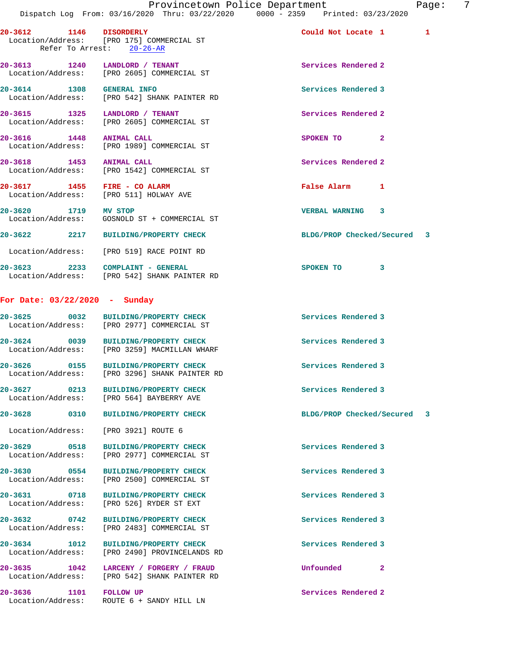| 20-3612 1146 DISORDERLY              | Location/Address: [PRO 175] COMMERCIAL ST<br>Refer To Arrest: 20-26-AR                | Could Not Locate 1 1        |  |
|--------------------------------------|---------------------------------------------------------------------------------------|-----------------------------|--|
|                                      | 20-3613 1240 LANDLORD / TENANT<br>Location/Address: [PRO 2605] COMMERCIAL ST          | Services Rendered 2         |  |
| 20-3614 1308 GENERAL INFO            | Location/Address: [PRO 542] SHANK PAINTER RD                                          | Services Rendered 3         |  |
| 20-3615 1325 LANDLORD / TENANT       | Location/Address: [PRO 2605] COMMERCIAL ST                                            | Services Rendered 2         |  |
| 20-3616 1448 ANIMAL CALL             | Location/Address: [PRO 1989] COMMERCIAL ST                                            | SPOKEN TO<br>$\mathbf{2}$   |  |
| 20-3618 1453 ANIMAL CALL             | Location/Address: [PRO 1542] COMMERCIAL ST                                            | Services Rendered 2         |  |
|                                      | 20-3617 1455 FIRE - CO ALARM<br>Location/Address: [PRO 511] HOLWAY AVE                | False Alarm 1               |  |
| 20-3620 1719 MV STOP                 | Location/Address: GOSNOLD ST + COMMERCIAL ST                                          | VERBAL WARNING 3            |  |
|                                      | 20-3622 2217 BUILDING/PROPERTY CHECK                                                  | BLDG/PROP Checked/Secured 3 |  |
|                                      | Location/Address: [PRO 519] RACE POINT RD                                             |                             |  |
|                                      | 20-3623 2233 COMPLAINT - GENERAL<br>Location/Address: [PRO 542] SHANK PAINTER RD      | SPOKEN TO<br>3              |  |
| For Date: 03/22/2020 - Sunday        |                                                                                       |                             |  |
|                                      | 20-3625 0032 BUILDING/PROPERTY CHECK<br>Location/Address: [PRO 2977] COMMERCIAL ST    | Services Rendered 3         |  |
|                                      | 20-3624 0039 BUILDING/PROPERTY CHECK<br>Location/Address: [PRO 3259] MACMILLAN WHARF  | Services Rendered 3         |  |
|                                      | 20-3626 0155 BUILDING/PROPERTY CHECK<br>Location/Address: [PRO 3296] SHANK PAINTER RD | Services Rendered 3         |  |
|                                      | 20-3627 0213 BUILDING/PROPERTY CHECK<br>Location/Address: [PRO 564] BAYBERRY AVE      | Services Rendered 3         |  |
| 20-3628 0310                         | <b>BUILDING/PROPERTY CHECK</b>                                                        | BLDG/PROP Checked/Secured 3 |  |
| Location/Address: [PRO 3921] ROUTE 6 |                                                                                       |                             |  |
| 0518<br>20-3629<br>Location/Address: | <b>BUILDING/PROPERTY CHECK</b><br>[PRO 2977] COMMERCIAL ST                            | Services Rendered 3         |  |
| 20-3630 0554<br>Location/Address:    | <b>BUILDING/PROPERTY CHECK</b><br>[PRO 2500] COMMERCIAL ST                            | Services Rendered 3         |  |
| 0718<br>20-3631<br>Location/Address: | <b>BUILDING/PROPERTY CHECK</b><br>[PRO 526] RYDER ST EXT                              | Services Rendered 3         |  |
| 20-3632 0742<br>Location/Address:    | <b>BUILDING/PROPERTY CHECK</b><br>[PRO 2483] COMMERCIAL ST                            | Services Rendered 3         |  |
| 20-3634<br>1012<br>Location/Address: | <b>BUILDING/PROPERTY CHECK</b><br>[PRO 2490] PROVINCELANDS RD                         | Services Rendered 3         |  |

**20-3635 1042 LARCENY / FORGERY / FRAUD Unfounded 2** 

Location/Address: [PRO 542] SHANK PAINTER RD

**20-3636 1101 FOLLOW UP Services Rendered 2**  Location/Address: ROUTE 6 + SANDY HILL LN